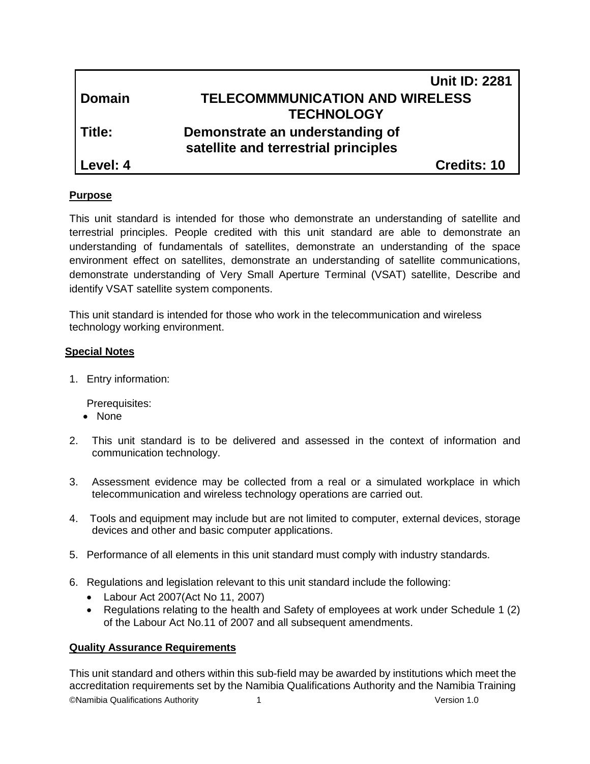|               | <b>Unit ID: 2281</b>                   |
|---------------|----------------------------------------|
| <b>Domain</b> | <b>TELECOMMMUNICATION AND WIRELESS</b> |
|               | <b>TECHNOLOGY</b>                      |
| Title:        | Demonstrate an understanding of        |
|               | satellite and terrestrial principles   |
| Level: 4      | <b>Credits: 10</b>                     |

## **Purpose**

This unit standard is intended for those who demonstrate an understanding of satellite and terrestrial principles. People credited with this unit standard are able to demonstrate an understanding of fundamentals of satellites, demonstrate an understanding of the space environment effect on satellites, demonstrate an understanding of satellite communications, demonstrate understanding of Very Small Aperture Terminal (VSAT) satellite, Describe and identify VSAT satellite system components.

This unit standard is intended for those who work in the telecommunication and wireless technology working environment.

## **Special Notes**

1. Entry information:

Prerequisites:

- None
- 2. This unit standard is to be delivered and assessed in the context of information and communication technology.
- 3. Assessment evidence may be collected from a real or a simulated workplace in which telecommunication and wireless technology operations are carried out.
- 4. Tools and equipment may include but are not limited to computer, external devices, storage devices and other and basic computer applications.
- 5. Performance of all elements in this unit standard must comply with industry standards.
- 6. Regulations and legislation relevant to this unit standard include the following:
	- Labour Act 2007(Act No 11, 2007)
	- Regulations relating to the health and Safety of employees at work under Schedule 1 (2) of the Labour Act No.11 of 2007 and all subsequent amendments.

## **Quality Assurance Requirements**

©Namibia Qualifications Authority 1 Version 1.0 This unit standard and others within this sub-field may be awarded by institutions which meet the accreditation requirements set by the Namibia Qualifications Authority and the Namibia Training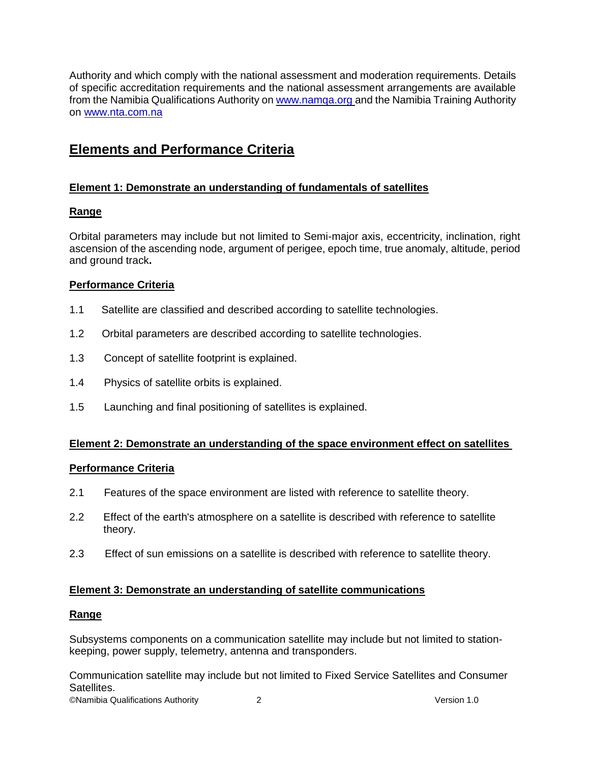Authority and which comply with the national assessment and moderation requirements. Details of specific accreditation requirements and the national assessment arrangements are available from the Namibia Qualifications Authority o[n www.namqa.org a](http://www.namqa.org/)nd the Namibia Training Authority on [www.nta.com.na](http://www.nta.com.na/)

## **Elements and Performance Criteria**

## **Element 1: Demonstrate an understanding of fundamentals of satellites**

## **Range**

Orbital parameters may include but not limited to Semi-major axis, eccentricity, inclination, right ascension of the ascending node, argument of perigee, epoch time, true anomaly, altitude, period and ground track**.**

## **Performance Criteria**

- 1.1 Satellite are classified and described according to satellite technologies.
- 1.2 Orbital parameters are described according to satellite technologies.
- 1.3 Concept of satellite footprint is explained.
- 1.4 Physics of satellite orbits is explained.
- 1.5 Launching and final positioning of satellites is explained.

#### **Element 2: Demonstrate an understanding of the space environment effect on satellites**

#### **Performance Criteria**

- 2.1 Features of the space environment are listed with reference to satellite theory.
- 2.2 Effect of the earth's atmosphere on a satellite is described with reference to satellite theory.
- 2.3 Effect of sun emissions on a satellite is described with reference to satellite theory.

#### **Element 3: Demonstrate an understanding of satellite communications**

#### **Range**

Subsystems components on a communication satellite may include but not limited to stationkeeping, power supply, telemetry, antenna and transponders.

Communication satellite may include but not limited to Fixed Service Satellites and Consumer Satellites.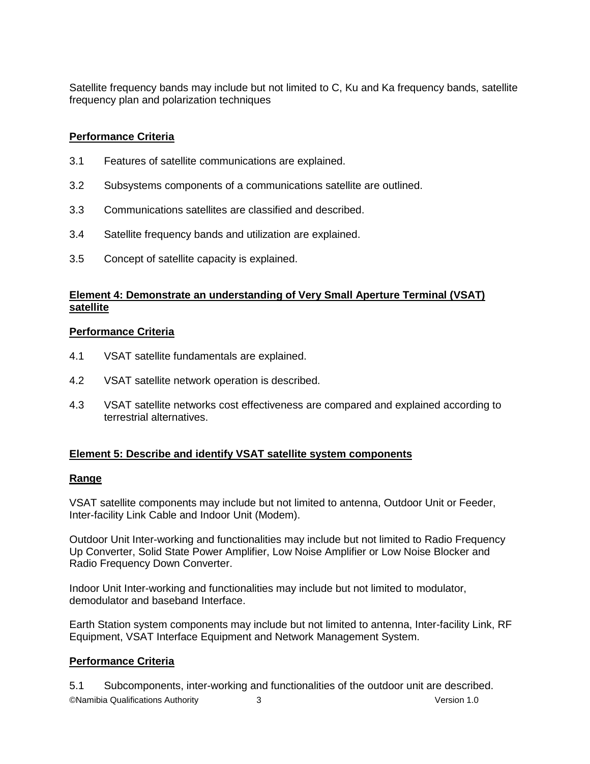Satellite frequency bands may include but not limited to C, Ku and Ka frequency bands, satellite frequency plan and polarization techniques

## **Performance Criteria**

- 3.1 Features of satellite communications are explained.
- 3.2 Subsystems components of a communications satellite are outlined.
- 3.3 Communications satellites are classified and described.
- 3.4 Satellite frequency bands and utilization are explained.
- 3.5 Concept of satellite capacity is explained.

## **Element 4: Demonstrate an understanding of Very Small Aperture Terminal (VSAT) satellite**

## **Performance Criteria**

- 4.1 VSAT satellite fundamentals are explained.
- 4.2 VSAT satellite network operation is described.
- 4.3 VSAT satellite networks cost effectiveness are compared and explained according to terrestrial alternatives.

## **Element 5: Describe and identify VSAT satellite system components**

## **Range**

VSAT satellite components may include but not limited to antenna, Outdoor Unit or Feeder, Inter-facility Link Cable and Indoor Unit (Modem).

Outdoor Unit Inter-working and functionalities may include but not limited to Radio Frequency Up Converter, Solid State Power Amplifier, Low Noise Amplifier or Low Noise Blocker and Radio Frequency Down Converter.

Indoor Unit Inter-working and functionalities may include but not limited to modulator, demodulator and baseband Interface.

Earth Station system components may include but not limited to antenna, Inter-facility Link, RF Equipment, VSAT Interface Equipment and Network Management System.

## **Performance Criteria**

©Namibia Qualifications Authority 3 Version 1.0 5.1 Subcomponents, inter-working and functionalities of the outdoor unit are described.